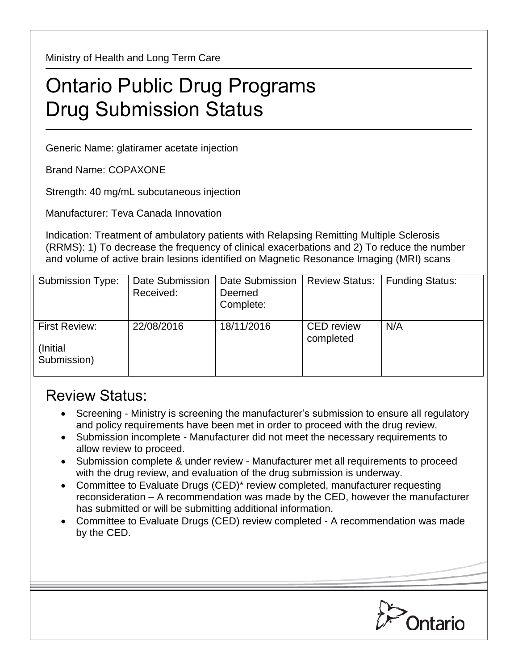Ministry of Health and Long Term Care

## Ontario Public Drug Programs Drug Submission Status

Generic Name: glatiramer acetate injection

Brand Name: COPAXONE

Strength: 40 mg/mL subcutaneous injection

Manufacturer: Teva Canada Innovation

Indication: Treatment of ambulatory patients with Relapsing Remitting Multiple Sclerosis (RRMS): 1) To decrease the frequency of clinical exacerbations and 2) To reduce the number and volume of active brain lesions identified on Magnetic Resonance Imaging (MRI) scans

| Submission Type:                          | Date Submission<br>Received: | Date Submission<br>Deemed<br>Complete: | <b>Review Status:</b>          | <b>Funding Status:</b> |
|-------------------------------------------|------------------------------|----------------------------------------|--------------------------------|------------------------|
| First Review:<br>(Initial)<br>Submission) | 22/08/2016                   | 18/11/2016                             | <b>CED</b> review<br>completed | N/A                    |

## Review Status:

- Screening Ministry is screening the manufacturer's submission to ensure all regulatory and policy requirements have been met in order to proceed with the drug review.
- Submission incomplete Manufacturer did not meet the necessary requirements to allow review to proceed.
- Submission complete & under review Manufacturer met all requirements to proceed with the drug review, and evaluation of the drug submission is underway.
- Committee to Evaluate Drugs (CED)\* review completed, manufacturer requesting reconsideration – A recommendation was made by the CED, however the manufacturer has submitted or will be submitting additional information.
- Committee to Evaluate Drugs (CED) review completed A recommendation was made by the CED.